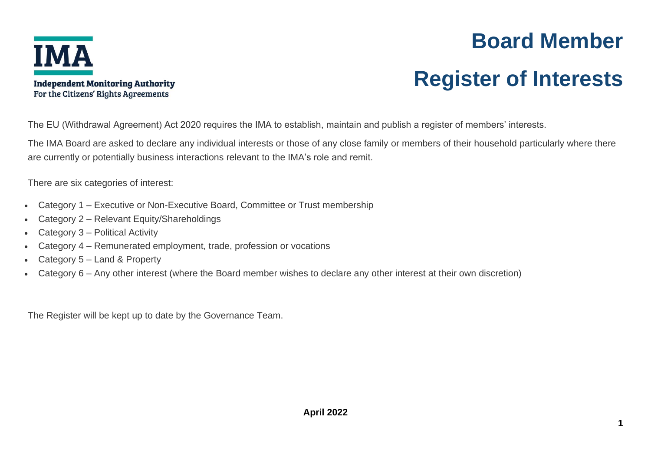

## **Board Member**

# **Register of Interests**

The EU (Withdrawal Agreement) Act 2020 requires the IMA to establish, maintain and publish a register of members' interests.

The IMA Board are asked to declare any individual interests or those of any close family or members of their household particularly where there are currently or potentially business interactions relevant to the IMA's role and remit.

There are six categories of interest:

**Independent Monitoring Authority** For the Citizens' Rights Agreements

- Category 1 Executive or Non-Executive Board, Committee or Trust membership
- Category 2 Relevant Equity/Shareholdings
- Category 3 Political Activity
- Category 4 Remunerated employment, trade, profession or vocations
- Category 5 Land & Property
- Category 6 Any other interest (where the Board member wishes to declare any other interest at their own discretion)

The Register will be kept up to date by the Governance Team.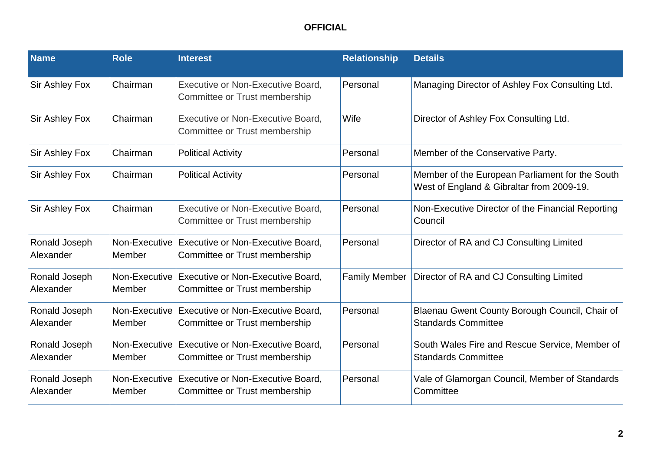| <b>Name</b>                | <b>Role</b>             | <b>Interest</b>                                                                  | <b>Relationship</b>  | <b>Details</b>                                                                               |
|----------------------------|-------------------------|----------------------------------------------------------------------------------|----------------------|----------------------------------------------------------------------------------------------|
| <b>Sir Ashley Fox</b>      | Chairman                | Executive or Non-Executive Board,<br>Committee or Trust membership               | Personal             | Managing Director of Ashley Fox Consulting Ltd.                                              |
| <b>Sir Ashley Fox</b>      | Chairman                | Executive or Non-Executive Board,<br>Committee or Trust membership               | Wife                 | Director of Ashley Fox Consulting Ltd.                                                       |
| <b>Sir Ashley Fox</b>      | Chairman                | <b>Political Activity</b>                                                        | Personal             | Member of the Conservative Party.                                                            |
| <b>Sir Ashley Fox</b>      | Chairman                | <b>Political Activity</b>                                                        | Personal             | Member of the European Parliament for the South<br>West of England & Gibraltar from 2009-19. |
| <b>Sir Ashley Fox</b>      | Chairman                | Executive or Non-Executive Board,<br>Committee or Trust membership               | Personal             | Non-Executive Director of the Financial Reporting<br>Council                                 |
| Ronald Joseph<br>Alexander | Non-Executive<br>Member | <b>Executive or Non-Executive Board,</b><br>Committee or Trust membership        | Personal             | Director of RA and CJ Consulting Limited                                                     |
| Ronald Joseph<br>Alexander | Non-Executive<br>Member | Executive or Non-Executive Board,<br>Committee or Trust membership               | <b>Family Member</b> | Director of RA and CJ Consulting Limited                                                     |
| Ronald Joseph<br>Alexander | Member                  | Non-Executive Executive or Non-Executive Board,<br>Committee or Trust membership | Personal             | Blaenau Gwent County Borough Council, Chair of<br><b>Standards Committee</b>                 |
| Ronald Joseph<br>Alexander | Non-Executive<br>Member | Executive or Non-Executive Board,<br>Committee or Trust membership               | Personal             | South Wales Fire and Rescue Service, Member of<br><b>Standards Committee</b>                 |
| Ronald Joseph<br>Alexander | Member                  | Non-Executive Executive or Non-Executive Board,<br>Committee or Trust membership | Personal             | Vale of Glamorgan Council, Member of Standards<br>Committee                                  |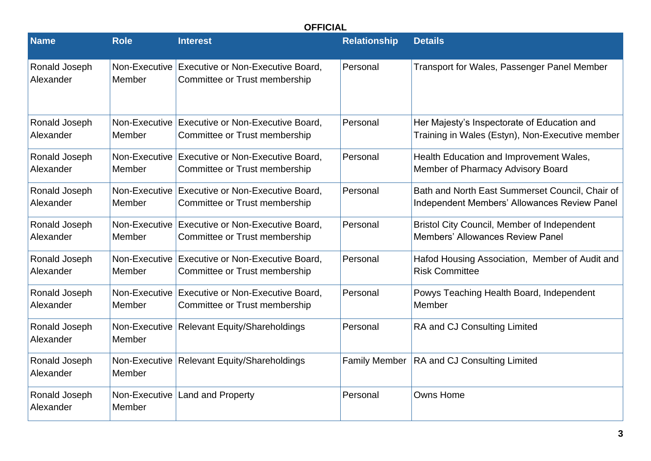| <b>Name</b>                | <b>Role</b>             | <b>Interest</b>                                                                    | <b>Relationship</b>  | <b>Details</b>                                                                                  |
|----------------------------|-------------------------|------------------------------------------------------------------------------------|----------------------|-------------------------------------------------------------------------------------------------|
| Ronald Joseph<br>Alexander | Non-Executive<br>Member | Executive or Non-Executive Board,<br>Committee or Trust membership                 | Personal             | Transport for Wales, Passenger Panel Member                                                     |
| Ronald Joseph<br>Alexander | Member                  | Non-Executive   Executive or Non-Executive Board,<br>Committee or Trust membership | Personal             | Her Majesty's Inspectorate of Education and<br>Training in Wales (Estyn), Non-Executive member  |
| Ronald Joseph<br>Alexander | Non-Executive<br>Member | Executive or Non-Executive Board,<br>Committee or Trust membership                 | Personal             | Health Education and Improvement Wales,<br>Member of Pharmacy Advisory Board                    |
| Ronald Joseph<br>Alexander | Non-Executive<br>Member | Executive or Non-Executive Board,<br>Committee or Trust membership                 | Personal             | Bath and North East Summerset Council, Chair of<br>Independent Members' Allowances Review Panel |
| Ronald Joseph<br>Alexander | Non-Executive<br>Member | <b>Executive or Non-Executive Board,</b><br>Committee or Trust membership          | Personal             | <b>Bristol City Council, Member of Independent</b><br><b>Members' Allowances Review Panel</b>   |
| Ronald Joseph<br>Alexander | Non-Executive<br>Member | <b>Executive or Non-Executive Board,</b><br>Committee or Trust membership          | Personal             | Hafod Housing Association, Member of Audit and<br><b>Risk Committee</b>                         |
| Ronald Joseph<br>Alexander | Member                  | Non-Executive Executive or Non-Executive Board,<br>Committee or Trust membership   | Personal             | Powys Teaching Health Board, Independent<br>Member                                              |
| Ronald Joseph<br>Alexander | Non-Executive<br>Member | <b>Relevant Equity/Shareholdings</b>                                               | Personal             | RA and CJ Consulting Limited                                                                    |
| Ronald Joseph<br>Alexander | Non-Executive<br>Member | <b>Relevant Equity/Shareholdings</b>                                               | <b>Family Member</b> | RA and CJ Consulting Limited                                                                    |
| Ronald Joseph<br>Alexander | Non-Executive<br>Member | <b>Land and Property</b>                                                           | Personal             | <b>Owns Home</b>                                                                                |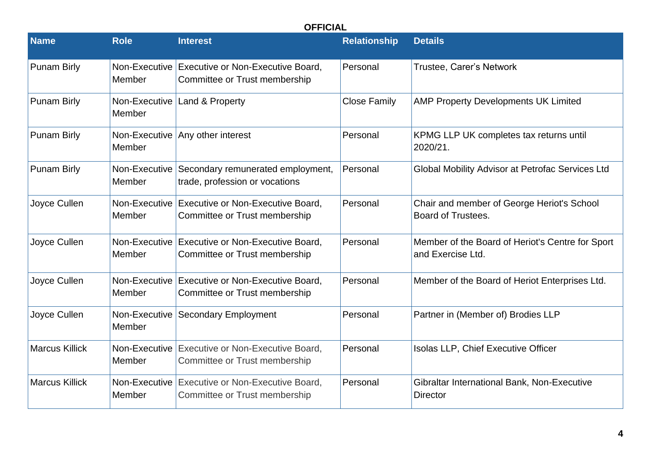| <b>Name</b>           | <b>Role</b>             | <b>Interest</b>                                                                  | <b>Relationship</b> | <b>Details</b>                                                        |
|-----------------------|-------------------------|----------------------------------------------------------------------------------|---------------------|-----------------------------------------------------------------------|
| <b>Punam Birly</b>    | Non-Executive<br>Member | Executive or Non-Executive Board,<br>Committee or Trust membership               | Personal            | Trustee, Carer's Network                                              |
| <b>Punam Birly</b>    | Non-Executive<br>Member | Land & Property                                                                  | <b>Close Family</b> | <b>AMP Property Developments UK Limited</b>                           |
| <b>Punam Birly</b>    | Non-Executive<br>Member | Any other interest                                                               | Personal            | KPMG LLP UK completes tax returns until<br>2020/21.                   |
| <b>Punam Birly</b>    | Non-Executive<br>Member | Secondary remunerated employment,<br>trade, profession or vocations              | Personal            | Global Mobility Advisor at Petrofac Services Ltd                      |
| Joyce Cullen          | Non-Executive<br>Member | Executive or Non-Executive Board,<br>Committee or Trust membership               | Personal            | Chair and member of George Heriot's School<br>Board of Trustees.      |
| Joyce Cullen          | Member                  | Non-Executive Executive or Non-Executive Board,<br>Committee or Trust membership | Personal            | Member of the Board of Heriot's Centre for Sport<br>and Exercise Ltd. |
| Joyce Cullen          | Member                  | Non-Executive Executive or Non-Executive Board,<br>Committee or Trust membership | Personal            | Member of the Board of Heriot Enterprises Ltd.                        |
| Joyce Cullen          | Non-Executive<br>Member | <b>Secondary Employment</b>                                                      | Personal            | Partner in (Member of) Brodies LLP                                    |
| <b>Marcus Killick</b> | Member                  | Non-Executive Executive or Non-Executive Board,<br>Committee or Trust membership | Personal            | Isolas LLP, Chief Executive Officer                                   |
| <b>Marcus Killick</b> | Member                  | Non-Executive Executive or Non-Executive Board,<br>Committee or Trust membership | Personal            | Gibraltar International Bank, Non-Executive<br><b>Director</b>        |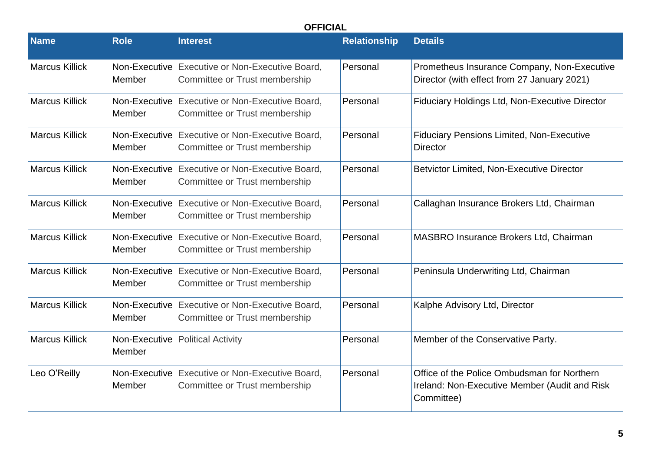| <b>Name</b>           | <b>Role</b>             | <b>Interest</b>                                                                  | <b>Relationship</b> | <b>Details</b>                                                                                             |
|-----------------------|-------------------------|----------------------------------------------------------------------------------|---------------------|------------------------------------------------------------------------------------------------------------|
| <b>Marcus Killick</b> | Non-Executive<br>Member | <b>Executive or Non-Executive Board,</b><br>Committee or Trust membership        | Personal            | Prometheus Insurance Company, Non-Executive<br>Director (with effect from 27 January 2021)                 |
| <b>Marcus Killick</b> | Member                  | Non-Executive Executive or Non-Executive Board,<br>Committee or Trust membership | Personal            | Fiduciary Holdings Ltd, Non-Executive Director                                                             |
| <b>Marcus Killick</b> | Member                  | Non-Executive Executive or Non-Executive Board,<br>Committee or Trust membership | Personal            | <b>Fiduciary Pensions Limited, Non-Executive</b><br><b>Director</b>                                        |
| Marcus Killick        | Non-Executive<br>Member | <b>Executive or Non-Executive Board,</b><br>Committee or Trust membership        | Personal            | <b>Betvictor Limited, Non-Executive Director</b>                                                           |
| <b>Marcus Killick</b> | Member                  | Non-Executive Executive or Non-Executive Board,<br>Committee or Trust membership | Personal            | Callaghan Insurance Brokers Ltd, Chairman                                                                  |
| <b>Marcus Killick</b> | Non-Executive<br>Member | Executive or Non-Executive Board,<br>Committee or Trust membership               | Personal            | <b>MASBRO Insurance Brokers Ltd, Chairman</b>                                                              |
| <b>Marcus Killick</b> | Non-Executive<br>Member | Executive or Non-Executive Board,<br>Committee or Trust membership               | Personal            | Peninsula Underwriting Ltd, Chairman                                                                       |
| <b>Marcus Killick</b> | Member                  | Non-Executive Executive or Non-Executive Board,<br>Committee or Trust membership | Personal            | Kalphe Advisory Ltd, Director                                                                              |
| <b>Marcus Killick</b> | Non-Executive<br>Member | <b>Political Activity</b>                                                        | Personal            | Member of the Conservative Party.                                                                          |
| Leo O'Reilly          | Non-Executive<br>Member | <b>Executive or Non-Executive Board,</b><br>Committee or Trust membership        | Personal            | Office of the Police Ombudsman for Northern<br>Ireland: Non-Executive Member (Audit and Risk<br>Committee) |